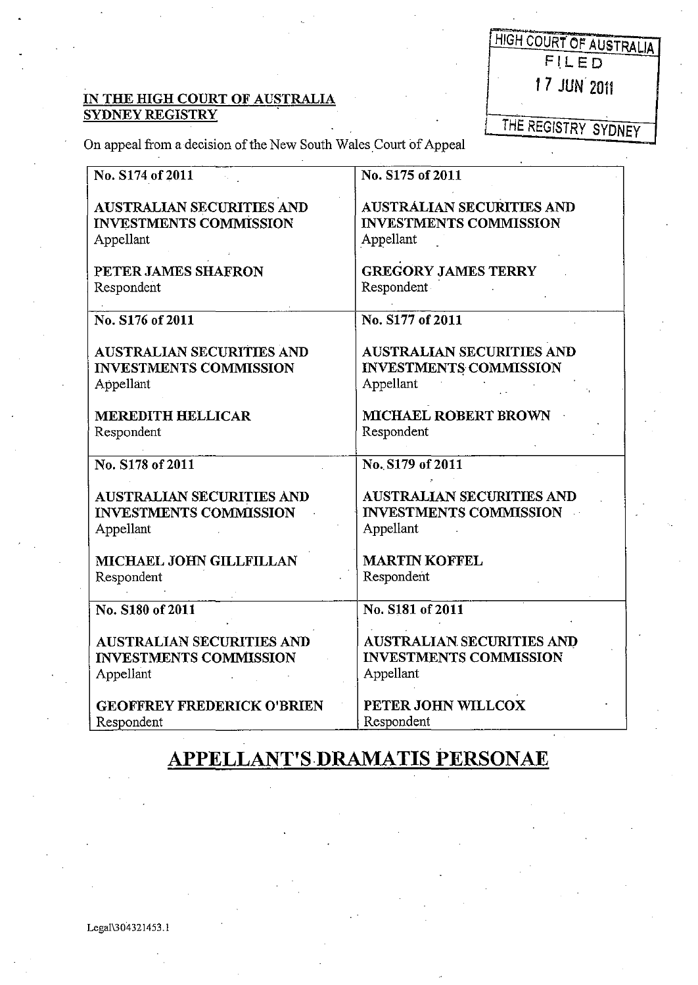## IN THE HIGH COURT OF AUSTRALIA SYDNEY REGISTRY .

| HIGH COURT OF AUSTRALIA |
|-------------------------|
| FILED                   |
| 17 JUN 2011             |
|                         |

**THE REGISTRY SYDNEY** 

On appeal from a decision of the New South Wales Court of Appeal

| No. S174 of 2011                  | No. S175 of 2011                 |  |
|-----------------------------------|----------------------------------|--|
|                                   |                                  |  |
| <b>AUSTRALIAN SECURITIES AND</b>  | <b>AUSTRALIAN SECURITIES AND</b> |  |
| <b>INVESTMENTS COMMISSION</b>     | <b>INVESTMENTS COMMISSION</b>    |  |
|                                   |                                  |  |
| Appellant                         | Appellant                        |  |
| PETER JAMES SHAFRON               | <b>GREGORY JAMES TERRY</b>       |  |
| Respondent                        | Respondent                       |  |
|                                   |                                  |  |
| No. S176 of 2011                  | No. S177 of 2011                 |  |
|                                   |                                  |  |
| <b>AUSTRALIAN SECURITIES AND</b>  | <b>AUSTRALIAN SECURITIES AND</b> |  |
| <b>INVESTMENTS COMMISSION</b>     | <b>INVESTMENTS COMMISSION</b>    |  |
| Appellant                         | Appellant                        |  |
|                                   |                                  |  |
| <b>MEREDITH HELLICAR</b>          | MICHAEL ROBERT BROWN             |  |
| Respondent                        | Respondent                       |  |
|                                   |                                  |  |
| No. S178 of 2011                  | No. S179 of 2011                 |  |
|                                   |                                  |  |
| <b>AUSTRALIAN SECURITIES AND</b>  | <b>AUSTRALIAN SECURITIES AND</b> |  |
| <b>INVESTMENTS COMMISSION</b>     | <b>INVESTMENTS COMMISSION</b>    |  |
| Appellant                         | Appellant                        |  |
|                                   |                                  |  |
| MICHAEL JOHN GILLFILLAN           | <b>MARTIN KOFFEL</b>             |  |
| Respondent                        | Respondent                       |  |
|                                   |                                  |  |
| No. S180 of 2011                  | No. S181 of 2011                 |  |
|                                   |                                  |  |
| <b>AUSTRALIAN SECURITIES AND</b>  | AUSTRALIAN SECURITIES AND        |  |
| <b>INVESTMENTS COMMISSION</b>     | <b>INVESTMENTS COMMISSION</b>    |  |
| Appellant                         | Appellant                        |  |
|                                   |                                  |  |
| <b>GEOFFREY FREDERICK O'BRIEN</b> | PETER JOHN WILLCOX               |  |
| Respondent                        | Respondent                       |  |

## **APPELLANT'S·DRAMATIS PERSONAE**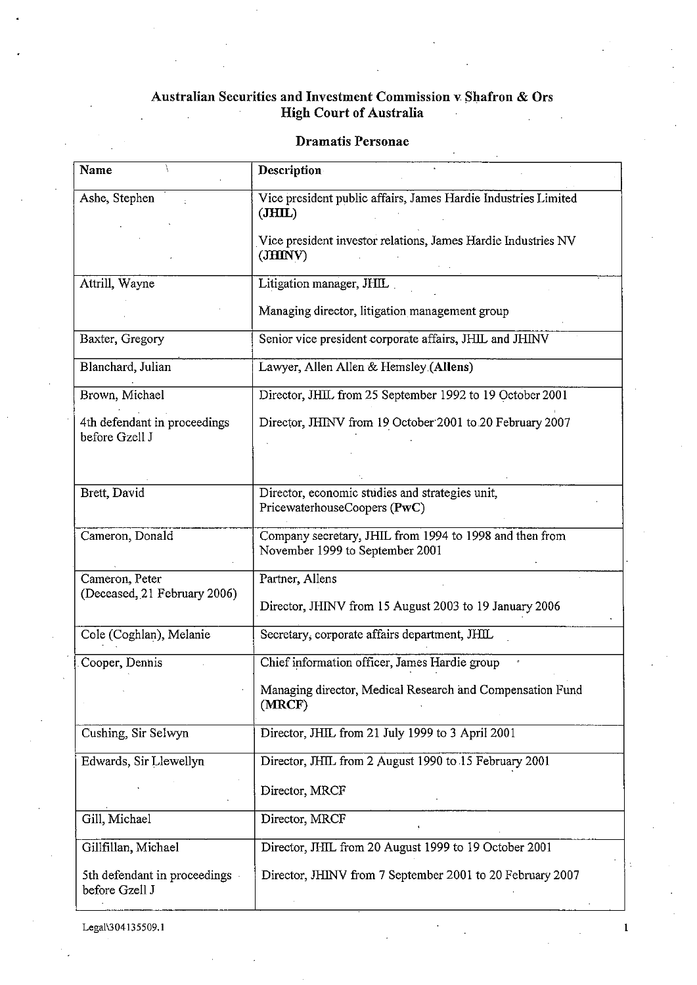## Australian Securities and Investment Commission v Shafron & Ors High Court of Australia

| Name                                             | Description                                                                                |
|--------------------------------------------------|--------------------------------------------------------------------------------------------|
| Ashe, Stephen                                    | Vice president public affairs, James Hardie Industries Limited<br>JHIL                     |
|                                                  | Vice president investor relations, James Hardie Industries NV<br>(JHINV)                   |
| Attrill, Wayne                                   | Litigation manager, JHIL                                                                   |
|                                                  | Managing director, litigation management group                                             |
| Baxter, Gregory                                  | Senior vice president corporate affairs, JHIL and JHINV                                    |
| Blanchard, Julian                                | Lawyer, Allen Allen & Hemsley (Allens)                                                     |
| Brown, Michael                                   | Director, JHIL from 25 September 1992 to 19 October 2001                                   |
| 4th defendant in proceedings<br>before Gzell J   | Director, JHINV from 19 October 2001 to 20 February 2007                                   |
|                                                  |                                                                                            |
| Brett, David                                     | Director, economic studies and strategies unit,<br>PricewaterhouseCoopers (PwC)            |
| Cameron, Donald                                  | Company secretary, JHIL from 1994 to 1998 and then from<br>November 1999 to September 2001 |
| Cameron, Peter                                   | Partner, Allens                                                                            |
| (Deceased, 21 February 2006)                     | Director, JHINV from 15 August 2003 to 19 January 2006                                     |
| Cole (Coghlan), Melanie                          | Secretary, corporate affairs department, JHIL                                              |
| Cooper, Dennis                                   | Chief information officer, James Hardie group                                              |
|                                                  | Managing director, Medical Research and Compensation Fund<br>(MRCF)                        |
| Cushing, Sir Selwyn                              | Director, JHIL from 21 July 1999 to 3 April 2001                                           |
| Edwards, Sir Llewellyn                           | Director, JHIL from 2 August 1990 to 15 February 2001                                      |
|                                                  | Director, MRCF                                                                             |
| Gill, Michael                                    | Director, MRCF                                                                             |
| Gillfillan, Michael                              | Director, JHIL from 20 August 1999 to 19 October 2001                                      |
| 5th defendant in proceedings -<br>before Gzell J | Director, JHINV from 7 September 2001 to 20 February 2007                                  |

 $\ddot{\ddot{}}$ 

 $\mathbf 1$ 

Dramatis Personae

Legal\304135509.1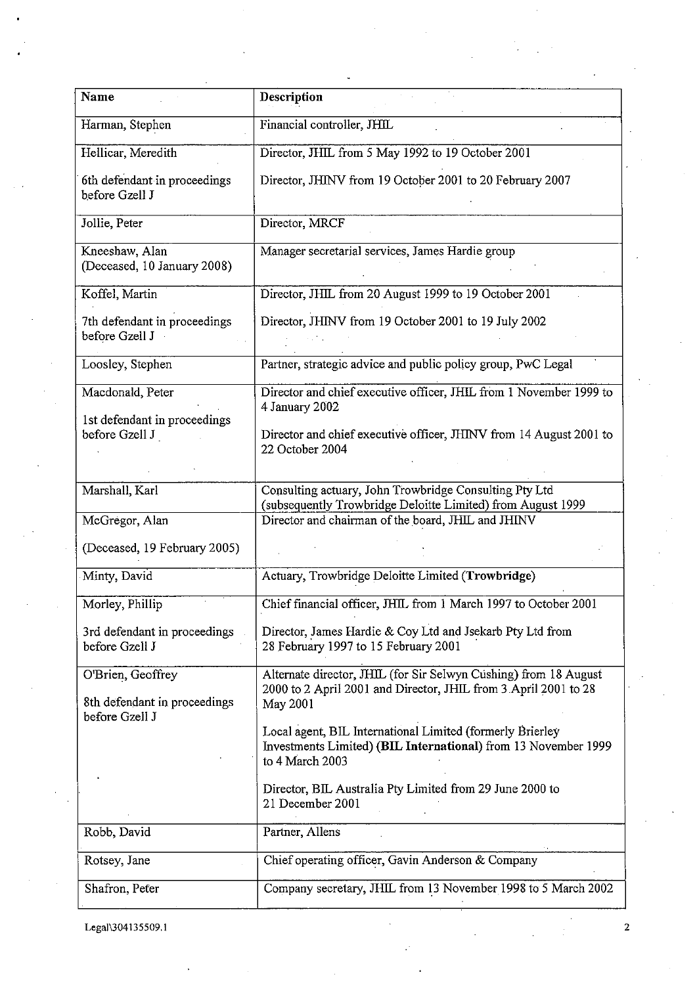| Name                                                                | Description                                                                                                                                            |
|---------------------------------------------------------------------|--------------------------------------------------------------------------------------------------------------------------------------------------------|
| Harman, Stephen                                                     | Financial controller, JHIL                                                                                                                             |
| Hellicar, Meredith                                                  | Director, JHIL from 5 May 1992 to 19 October 2001                                                                                                      |
| 6th defendant in proceedings<br>before Gzell J                      | Director, JHINV from 19 October 2001 to 20 February 2007                                                                                               |
| Jollie, Peter                                                       | Director, MRCF                                                                                                                                         |
| Kneeshaw, Alan<br>(Deceased, 10 January 2008)                       | Manager secretarial services, James Hardie group                                                                                                       |
| Koffel, Martin                                                      | Director, JHIL from 20 August 1999 to 19 October 2001                                                                                                  |
| 7th defendant in proceedings<br>before Gzell J                      | Director, JHINV from 19 October 2001 to 19 July 2002                                                                                                   |
| Loosley, Stephen                                                    | Partner, strategic advice and public policy group, PwC Legal                                                                                           |
| Macdonald, Peter                                                    | Director and chief executive officer, JHIL from 1 November 1999 to<br>4 January 2002                                                                   |
| 1st defendant in proceedings<br>before Gzell J                      | Director and chief executive officer, JHINV from 14 August 2001 to<br>22 October 2004                                                                  |
| Marshall, Karl                                                      | Consulting actuary, John Trowbridge Consulting Pty Ltd<br>(subsequently Trowbridge Deloitte Limited) from August 1999                                  |
| McGregor, Alan                                                      | Director and chairman of the board, JHIL and JHINV                                                                                                     |
| (Deceased, 19 February 2005)                                        |                                                                                                                                                        |
| Minty, David                                                        | Actuary, Trowbridge Deloitte Limited (Trowbridge)                                                                                                      |
| Morley, Phillip                                                     | Chief financial officer, JHIL from 1 March 1997 to October 2001                                                                                        |
| 3rd defendant in proceedings<br>before Gzell J                      | Director, James Hardie & Coy Ltd and Jsekarb Pty Ltd from<br>28 February 1997 to 15 February 2001                                                      |
| O'Brien, Geoffrey<br>8th defendant in proceedings<br>before Gzell J | Alternate director, JHIL (for Sir Selwyn Cushing) from 18 August<br>2000 to 2 April 2001 and Director, JHIL from 3 April 2001 to 28<br><b>May 2001</b> |
|                                                                     | Local agent, BIL International Limited (formerly Brierley<br>Investments Limited) (BIL International) from 13 November 1999<br>to 4 March 2003         |
|                                                                     | Director, BIL Australia Pty Limited from 29 June 2000 to<br>21 December 2001                                                                           |
| Robb, David                                                         | Partner, Allens                                                                                                                                        |
| Rotsey, Jane                                                        | Chief operating officer, Gavin Anderson & Company                                                                                                      |
| Shafron, Peter                                                      | Company secretary, JHIL from 13 November 1998 to 5 March 2002                                                                                          |

Legai1304135509.i 2